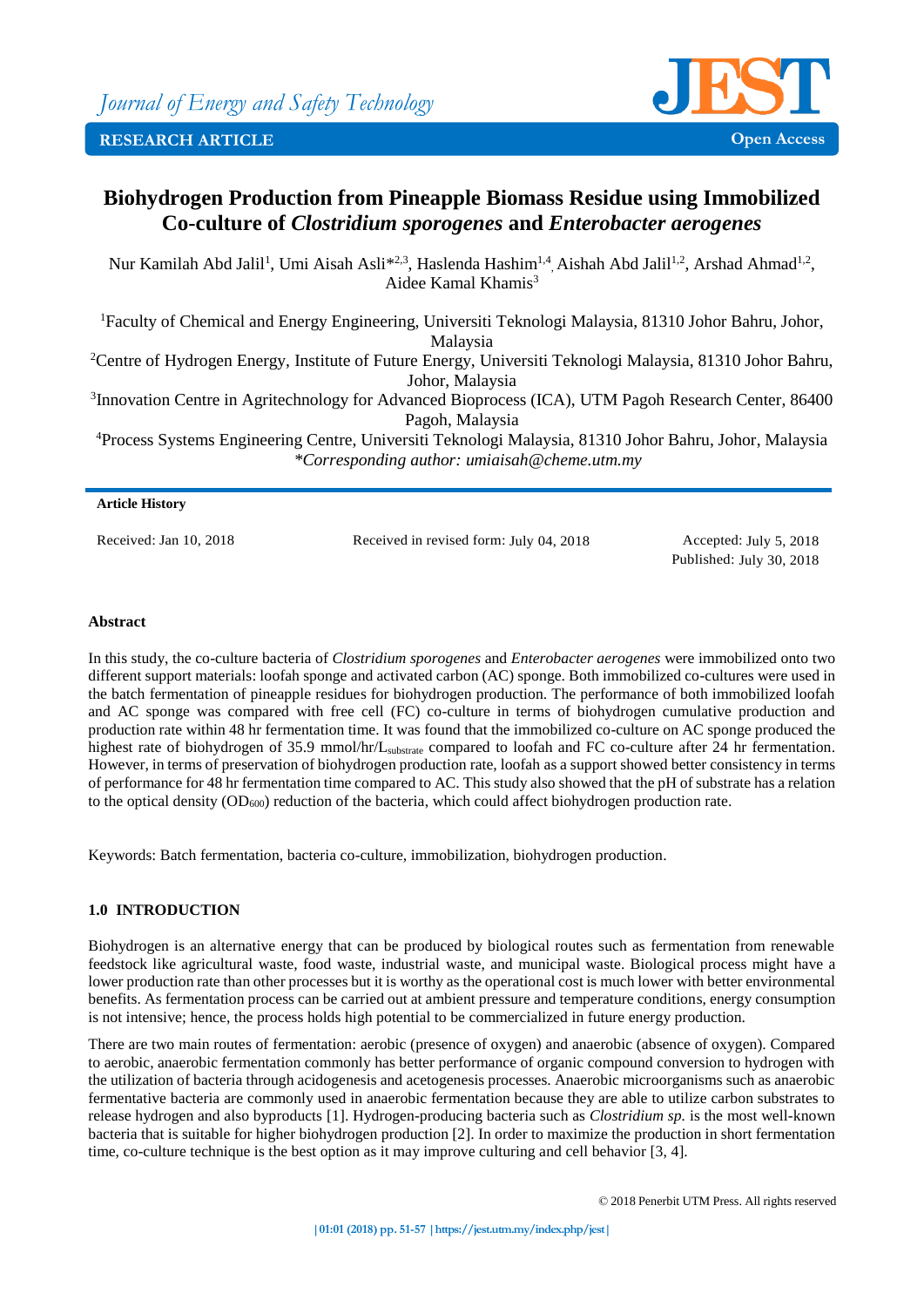

# **Biohydrogen Production from Pineapple Biomass Residue using Immobilized Co-culture of** *Clostridium sporogenes* **and** *Enterobacter aerogenes*

Nur Kamilah Abd Jalil<sup>1</sup>, Umi Aisah Asli<sup>\*2,3</sup>, Haslenda Hashim<sup>1,4</sup>, Aishah Abd Jalil<sup>1,2</sup>, Arshad Ahmad<sup>1,2</sup>, Aidee Kamal Khamis<sup>3</sup>

<sup>1</sup>Faculty of Chemical and Energy Engineering, Universiti Teknologi Malaysia, 81310 Johor Bahru, Johor, Malaysia <sup>2</sup>Centre of Hydrogen Energy, Institute of Future Energy, Universiti Teknologi Malaysia, 81310 Johor Bahru,

Johor, Malaysia <sup>3</sup> Innovation Centre in Agritechnology for Advanced Bioprocess (ICA), UTM Pagoh Research Center, 86400

Pagoh, Malaysia

<sup>4</sup>Process Systems Engineering Centre, Universiti Teknologi Malaysia, 81310 Johor Bahru, Johor, Malaysia *\*Corresponding author: umiaisah@cheme.utm.my*

## **Article History**

Received: Jan 10, 2018 Received in revised form: July 04, 2018 Accepted: July 5, 2018

Published: July 30, 2018

## **Abstract**

In this study, the co-culture bacteria of *Clostridium sporogenes* and *Enterobacter aerogenes* were immobilized onto two different support materials: loofah sponge and activated carbon (AC) sponge. Both immobilized co-cultures were used in the batch fermentation of pineapple residues for biohydrogen production. The performance of both immobilized loofah and AC sponge was compared with free cell (FC) co-culture in terms of biohydrogen cumulative production and production rate within 48 hr fermentation time. It was found that the immobilized co-culture on AC sponge produced the highest rate of biohydrogen of 35.9 mmol/hr/Lsubstrate compared to loofah and FC co-culture after 24 hr fermentation. However, in terms of preservation of biohydrogen production rate, loofah as a support showed better consistency in terms of performance for 48 hr fermentation time compared to AC. This study also showed that the pH of substrate has a relation to the optical density  $(OD_{600})$  reduction of the bacteria, which could affect biohydrogen production rate.

Keywords: Batch fermentation, bacteria co-culture, immobilization, biohydrogen production.

# **1.0 INTRODUCTION**

Biohydrogen is an alternative energy that can be produced by biological routes such as fermentation from renewable feedstock like agricultural waste, food waste, industrial waste, and municipal waste. Biological process might have a lower production rate than other processes but it is worthy as the operational cost is much lower with better environmental benefits. As fermentation process can be carried out at ambient pressure and temperature conditions, energy consumption is not intensive; hence, the process holds high potential to be commercialized in future energy production.

There are two main routes of fermentation: aerobic (presence of oxygen) and anaerobic (absence of oxygen). Compared to aerobic, anaerobic fermentation commonly has better performance of organic compound conversion to hydrogen with the utilization of bacteria through acidogenesis and acetogenesis processes. Anaerobic microorganisms such as anaerobic fermentative bacteria are commonly used in anaerobic fermentation because they are able to utilize carbon substrates to release hydrogen and also byproducts [1]. Hydrogen-producing bacteria such as *Clostridium sp.* is the most well-known bacteria that is suitable for higher biohydrogen production [2]. In order to maximize the production in short fermentation time, co-culture technique is the best option as it may improve culturing and cell behavior [3, 4].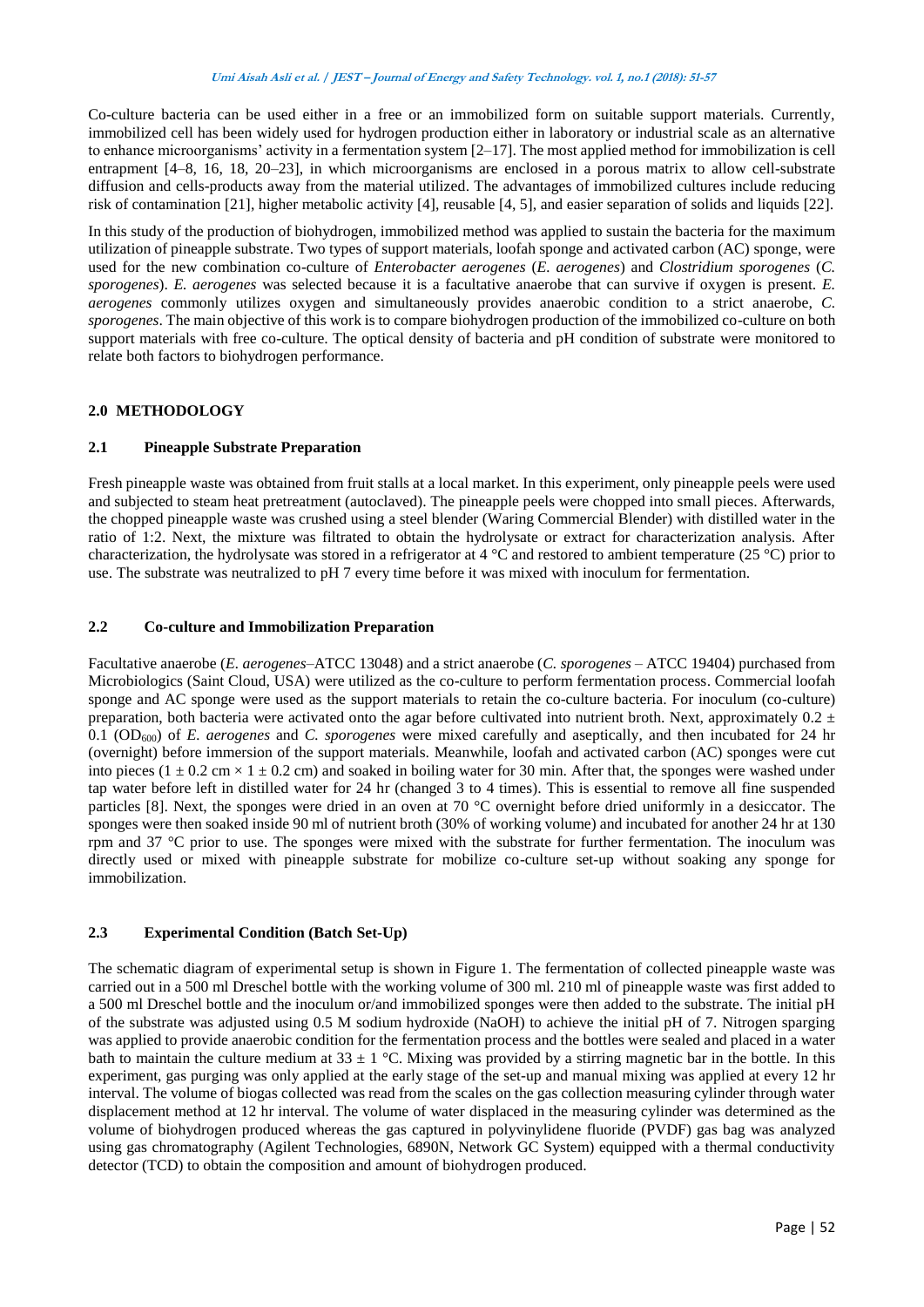#### **Umi Aisah Asli et al. / JEST – Journal of Energy and Safety Technology. vol. 1, no.1 (2018): 51-57**

Co-culture bacteria can be used either in a free or an immobilized form on suitable support materials. Currently, immobilized cell has been widely used for hydrogen production either in laboratory or industrial scale as an alternative to enhance microorganisms' activity in a fermentation system  $[2-17]$ . The most applied method for immobilization is cell entrapment [4–8, 16, 18, 20–23], in which microorganisms are enclosed in a porous matrix to allow cell-substrate diffusion and cells-products away from the material utilized. The advantages of immobilized cultures include reducing risk of contamination [21], higher metabolic activity [4], reusable [4, 5], and easier separation of solids and liquids [22].

In this study of the production of biohydrogen, immobilized method was applied to sustain the bacteria for the maximum utilization of pineapple substrate. Two types of support materials, loofah sponge and activated carbon (AC) sponge, were used for the new combination co-culture of *Enterobacter aerogenes* (*E. aerogenes*) and *Clostridium sporogenes* (*C. sporogenes*). *E. aerogenes* was selected because it is a facultative anaerobe that can survive if oxygen is present. *E. aerogenes* commonly utilizes oxygen and simultaneously provides anaerobic condition to a strict anaerobe, *C. sporogenes*. The main objective of this work is to compare biohydrogen production of the immobilized co-culture on both support materials with free co-culture. The optical density of bacteria and pH condition of substrate were monitored to relate both factors to biohydrogen performance.

## **2.0 METHODOLOGY**

#### **2.1 Pineapple Substrate Preparation**

Fresh pineapple waste was obtained from fruit stalls at a local market. In this experiment, only pineapple peels were used and subjected to steam heat pretreatment (autoclaved). The pineapple peels were chopped into small pieces. Afterwards, the chopped pineapple waste was crushed using a steel blender (Waring Commercial Blender) with distilled water in the ratio of 1:2. Next, the mixture was filtrated to obtain the hydrolysate or extract for characterization analysis. After characterization, the hydrolysate was stored in a refrigerator at 4 °C and restored to ambient temperature (25 °C) prior to use. The substrate was neutralized to pH 7 every time before it was mixed with inoculum for fermentation.

#### **2.2 Co-culture and Immobilization Preparation**

Facultative anaerobe (*E. aerogenes*–ATCC 13048) and a strict anaerobe (*C. sporogenes* – ATCC 19404) purchased from Microbiologics (Saint Cloud, USA) were utilized as the co-culture to perform fermentation process. Commercial loofah sponge and AC sponge were used as the support materials to retain the co-culture bacteria. For inoculum (co-culture) preparation, both bacteria were activated onto the agar before cultivated into nutrient broth. Next, approximately  $0.2 \pm$ 0.1 (OD600) of *E. aerogenes* and *C. sporogenes* were mixed carefully and aseptically, and then incubated for 24 hr (overnight) before immersion of the support materials. Meanwhile, loofah and activated carbon (AC) sponges were cut into pieces ( $1 \pm 0.2$  cm  $\times$  1  $\pm$  0.2 cm) and soaked in boiling water for 30 min. After that, the sponges were washed under tap water before left in distilled water for 24 hr (changed 3 to 4 times). This is essential to remove all fine suspended particles [8]. Next, the sponges were dried in an oven at 70 °C overnight before dried uniformly in a desiccator. The sponges were then soaked inside 90 ml of nutrient broth (30% of working volume) and incubated for another 24 hr at 130 rpm and 37 °C prior to use. The sponges were mixed with the substrate for further fermentation. The inoculum was directly used or mixed with pineapple substrate for mobilize co-culture set-up without soaking any sponge for immobilization.

## **2.3 Experimental Condition (Batch Set-Up)**

The schematic diagram of experimental setup is shown in Figure 1. The fermentation of collected pineapple waste was carried out in a 500 ml Dreschel bottle with the working volume of 300 ml. 210 ml of pineapple waste was first added to a 500 ml Dreschel bottle and the inoculum or/and immobilized sponges were then added to the substrate. The initial pH of the substrate was adjusted using 0.5 M sodium hydroxide (NaOH) to achieve the initial pH of 7. Nitrogen sparging was applied to provide anaerobic condition for the fermentation process and the bottles were sealed and placed in a water bath to maintain the culture medium at  $33 \pm 1$  °C. Mixing was provided by a stirring magnetic bar in the bottle. In this experiment, gas purging was only applied at the early stage of the set-up and manual mixing was applied at every 12 hr interval. The volume of biogas collected was read from the scales on the gas collection measuring cylinder through water displacement method at 12 hr interval. The volume of water displaced in the measuring cylinder was determined as the volume of biohydrogen produced whereas the gas captured in polyvinylidene fluoride (PVDF) gas bag was analyzed using gas chromatography (Agilent Technologies, 6890N, Network GC System) equipped with a thermal conductivity detector (TCD) to obtain the composition and amount of biohydrogen produced.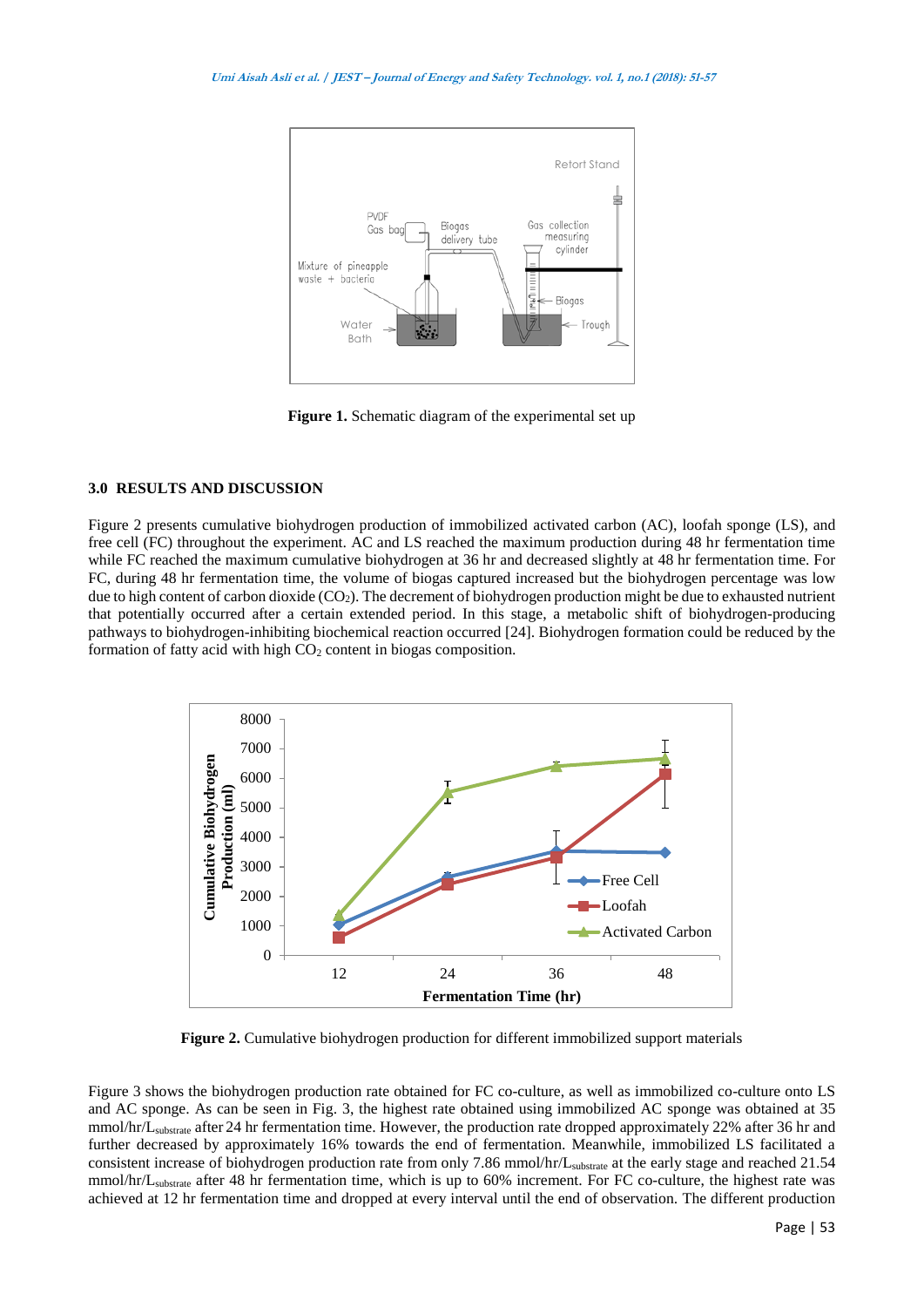

**Figure 1.** Schematic diagram of the experimental set up

## **3.0 RESULTS AND DISCUSSION**

Figure 2 presents cumulative biohydrogen production of immobilized activated carbon (AC), loofah sponge (LS), and free cell (FC) throughout the experiment. AC and LS reached the maximum production during 48 hr fermentation time while FC reached the maximum cumulative biohydrogen at 36 hr and decreased slightly at 48 hr fermentation time. For FC, during 48 hr fermentation time, the volume of biogas captured increased but the biohydrogen percentage was low due to high content of carbon dioxide  $(CO_2)$ . The decrement of biohydrogen production might be due to exhausted nutrient that potentially occurred after a certain extended period. In this stage, a metabolic shift of biohydrogen-producing pathways to biohydrogen-inhibiting biochemical reaction occurred [24]. Biohydrogen formation could be reduced by the formation of fatty acid with high  $CO<sub>2</sub>$  content in biogas composition.



**Figure 2.** Cumulative biohydrogen production for different immobilized support materials

Figure 3 shows the biohydrogen production rate obtained for FC co-culture, as well as immobilized co-culture onto LS and AC sponge. As can be seen in Fig. 3, the highest rate obtained using immobilized AC sponge was obtained at 35 mmol/hr/Lsubstrate after 24 hr fermentation time. However, the production rate dropped approximately 22% after 36 hr and further decreased by approximately 16% towards the end of fermentation. Meanwhile, immobilized LS facilitated a consistent increase of biohydrogen production rate from only 7.86 mmol/hr/Lsubstrate at the early stage and reached 21.54 mmol/hr/Lsubstrate after 48 hr fermentation time, which is up to 60% increment. For FC co-culture, the highest rate was achieved at 12 hr fermentation time and dropped at every interval until the end of observation. The different production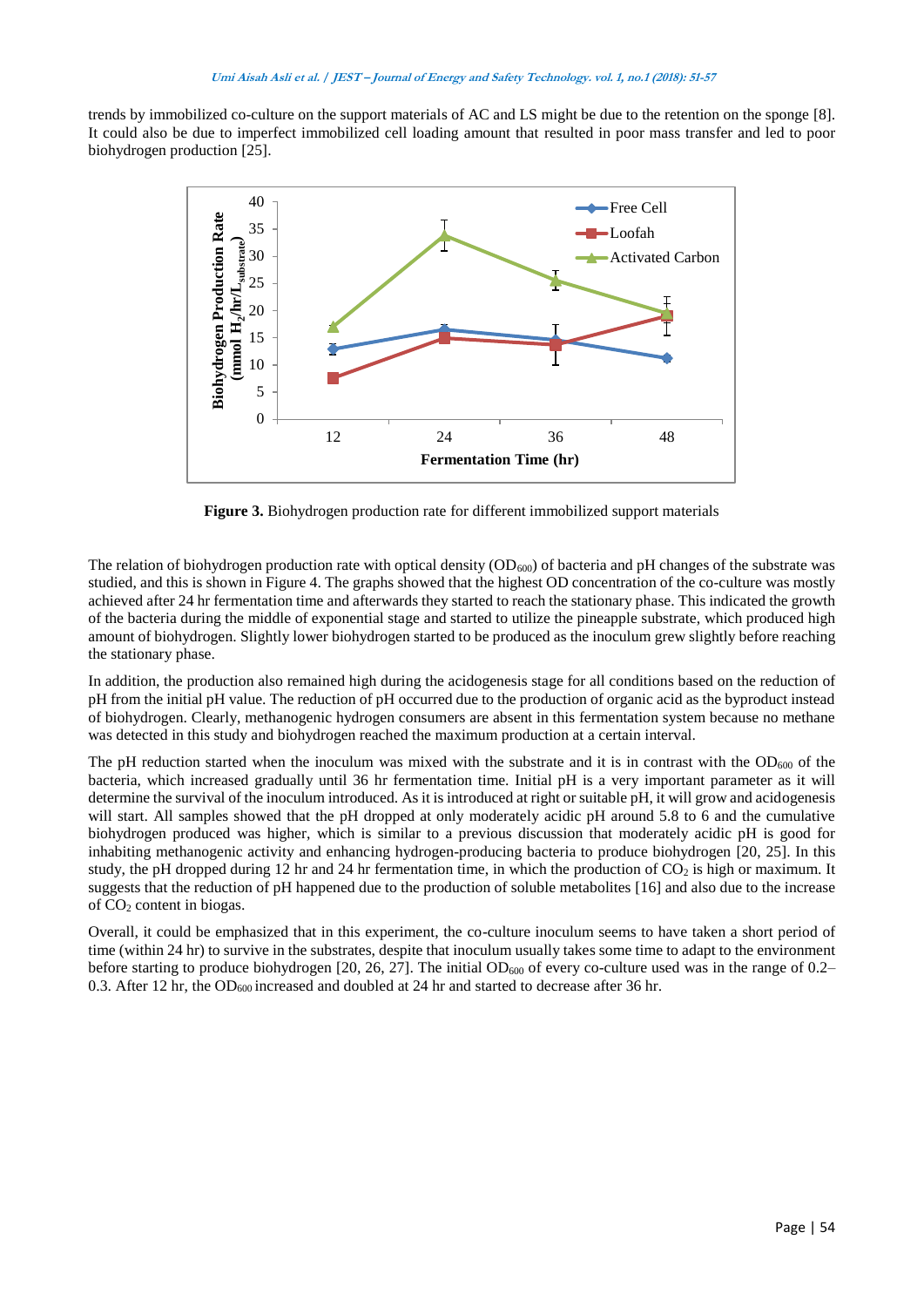trends by immobilized co-culture on the support materials of AC and LS might be due to the retention on the sponge [8]. It could also be due to imperfect immobilized cell loading amount that resulted in poor mass transfer and led to poor biohydrogen production [25].



**Figure 3.** Biohydrogen production rate for different immobilized support materials

The relation of biohydrogen production rate with optical density  $(OD_{600})$  of bacteria and pH changes of the substrate was studied, and this is shown in Figure 4. The graphs showed that the highest OD concentration of the co-culture was mostly achieved after 24 hr fermentation time and afterwards they started to reach the stationary phase. This indicated the growth of the bacteria during the middle of exponential stage and started to utilize the pineapple substrate, which produced high amount of biohydrogen. Slightly lower biohydrogen started to be produced as the inoculum grew slightly before reaching the stationary phase.

In addition, the production also remained high during the acidogenesis stage for all conditions based on the reduction of pH from the initial pH value. The reduction of pH occurred due to the production of organic acid as the byproduct instead of biohydrogen. Clearly, methanogenic hydrogen consumers are absent in this fermentation system because no methane was detected in this study and biohydrogen reached the maximum production at a certain interval.

The pH reduction started when the inoculum was mixed with the substrate and it is in contrast with the OD $_{600}$  of the bacteria, which increased gradually until 36 hr fermentation time. Initial pH is a very important parameter as it will determine the survival of the inoculum introduced. As it is introduced at right or suitable pH, it will grow and acidogenesis will start. All samples showed that the pH dropped at only moderately acidic pH around 5.8 to 6 and the cumulative biohydrogen produced was higher, which is similar to a previous discussion that moderately acidic pH is good for inhabiting methanogenic activity and enhancing hydrogen-producing bacteria to produce biohydrogen [20, 25]. In this study, the pH dropped during 12 hr and 24 hr fermentation time, in which the production of  $CO_2$  is high or maximum. It suggests that the reduction of pH happened due to the production of soluble metabolites [16] and also due to the increase of CO<sup>2</sup> content in biogas.

Overall, it could be emphasized that in this experiment, the co-culture inoculum seems to have taken a short period of time (within 24 hr) to survive in the substrates, despite that inoculum usually takes some time to adapt to the environment before starting to produce biohydrogen [20, 26, 27]. The initial  $OD_{600}$  of every co-culture used was in the range of 0.2– 0.3. After 12 hr, the OD<sub>600</sub> increased and doubled at 24 hr and started to decrease after 36 hr.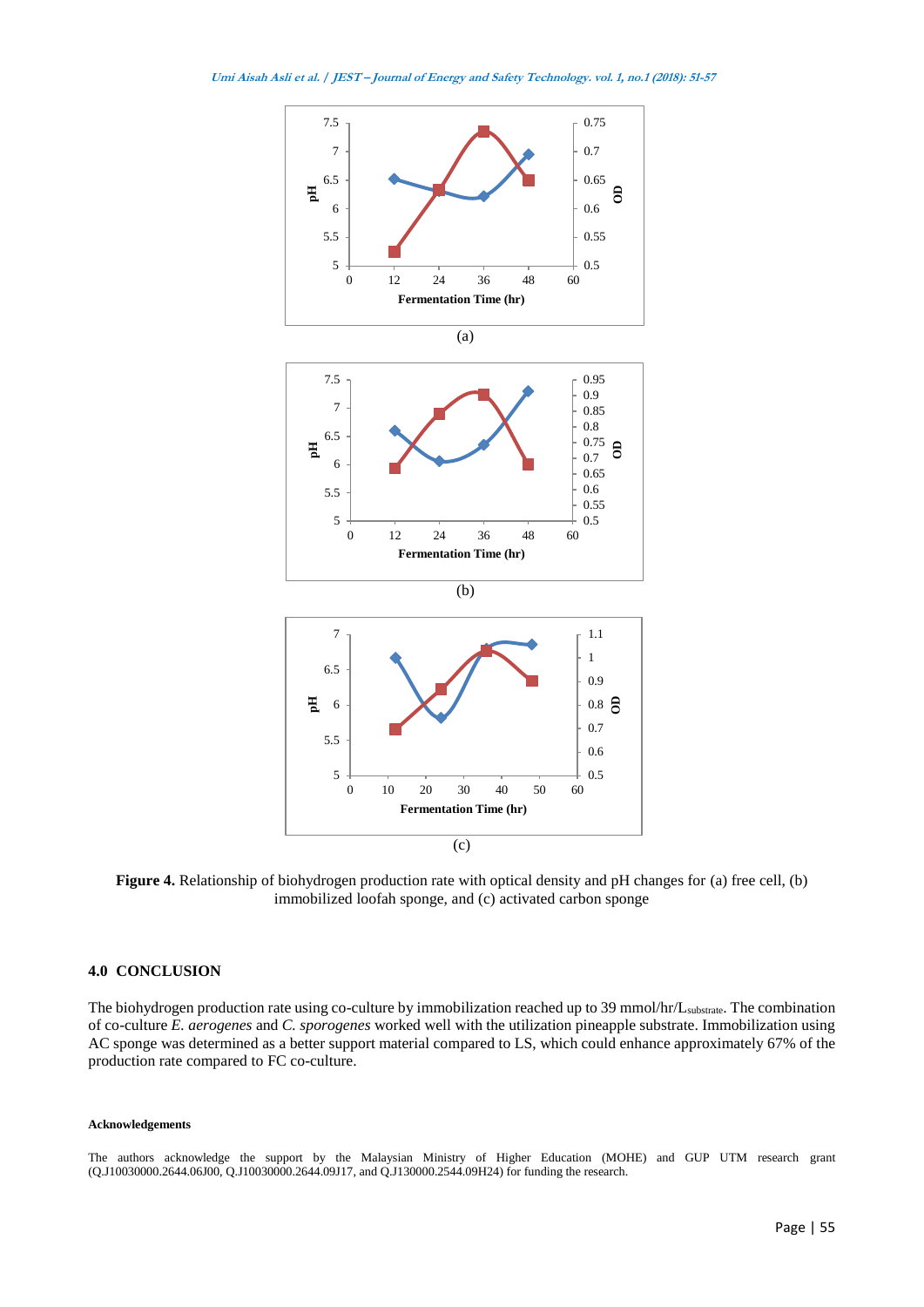

**Figure 4.** Relationship of biohydrogen production rate with optical density and pH changes for (a) free cell, (b) immobilized loofah sponge, and (c) activated carbon sponge

#### **4.0 CONCLUSION**

The biohydrogen production rate using co-culture by immobilization reached up to 39 mmol/hr/L<sub>substrate</sub>. The combination of co-culture *E. aerogenes* and *C. sporogenes* worked well with the utilization pineapple substrate. Immobilization using AC sponge was determined as a better support material compared to LS, which could enhance approximately 67% of the production rate compared to FC co-culture.

#### **Acknowledgements**

The authors acknowledge the support by the Malaysian Ministry of Higher Education (MOHE) and GUP UTM research grant (Q.J10030000.2644.06J00, Q.J10030000.2644.09J17, and Q.J130000.2544.09H24) for funding the research.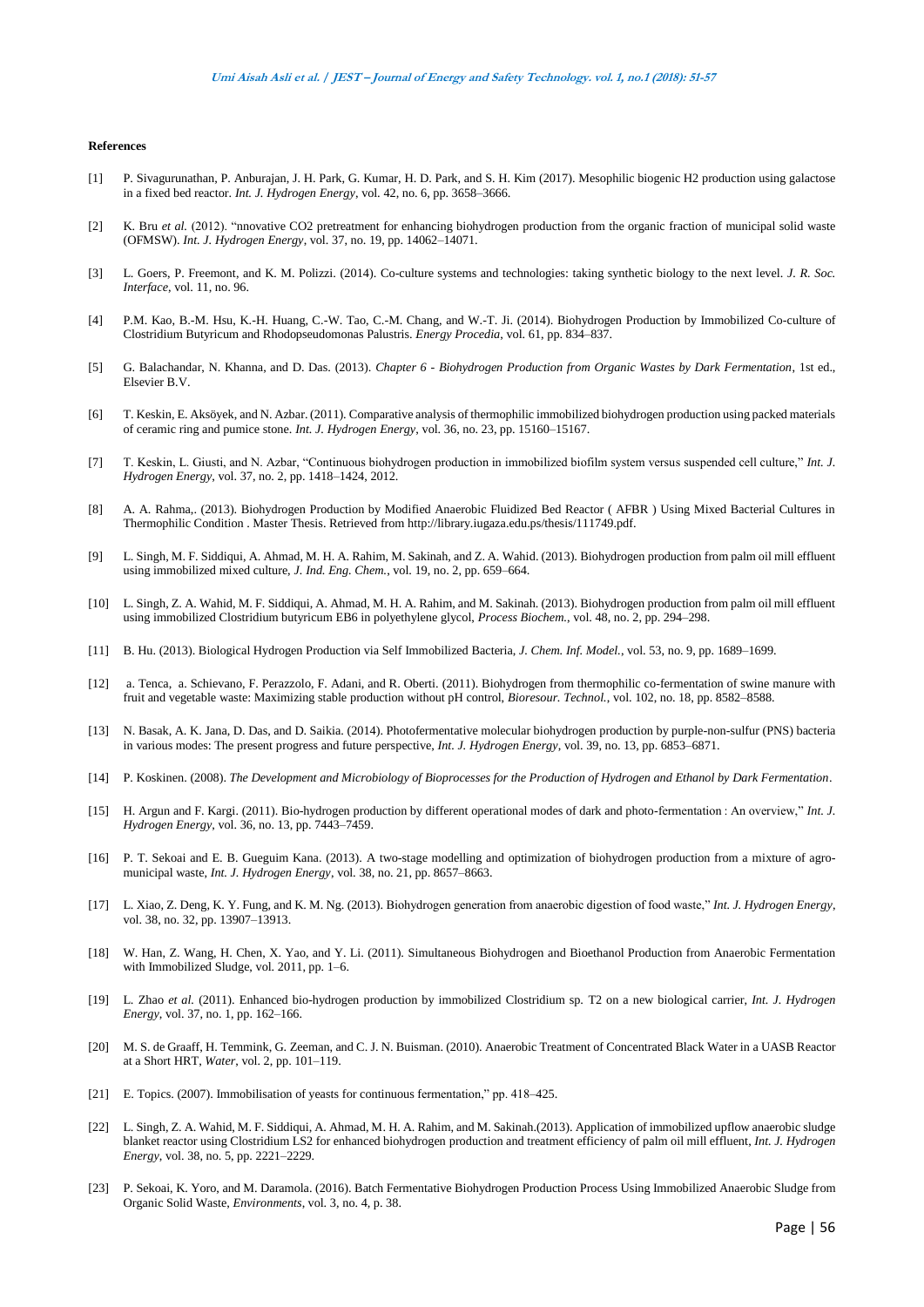#### **References**

- [1] P. Sivagurunathan, P. Anburajan, J. H. Park, G. Kumar, H. D. Park, and S. H. Kim (2017). Mesophilic biogenic H2 production using galactose in a fixed bed reactor. *Int. J. Hydrogen Energy*, vol. 42, no. 6, pp. 3658–3666.
- [2] K. Bru *et al.* (2012). "nnovative CO2 pretreatment for enhancing biohydrogen production from the organic fraction of municipal solid waste (OFMSW). *Int. J. Hydrogen Energy*, vol. 37, no. 19, pp. 14062–14071.
- [3] L. Goers, P. Freemont, and K. M. Polizzi. (2014). Co-culture systems and technologies: taking synthetic biology to the next level. *J. R. Soc. Interface*, vol. 11, no. 96.
- [4] P.M. Kao, B.-M. Hsu, K.-H. Huang, C.-W. Tao, C.-M. Chang, and W.-T. Ji. (2014). Biohydrogen Production by Immobilized Co-culture of Clostridium Butyricum and Rhodopseudomonas Palustris. *Energy Procedia*, vol. 61, pp. 834–837.
- [5] G. Balachandar, N. Khanna, and D. Das. (2013). *Chapter 6 - Biohydrogen Production from Organic Wastes by Dark Fermentation*, 1st ed., Elsevier B.V.
- [6] T. Keskin, E. Aksöyek, and N. Azbar. (2011). Comparative analysis of thermophilic immobilized biohydrogen production using packed materials of ceramic ring and pumice stone. *Int. J. Hydrogen Energy*, vol. 36, no. 23, pp. 15160–15167.
- [7] T. Keskin, L. Giusti, and N. Azbar, "Continuous biohydrogen production in immobilized biofilm system versus suspended cell culture," *Int. J. Hydrogen Energy*, vol. 37, no. 2, pp. 1418–1424, 2012.
- [8] A. A. Rahma,. (2013). Biohydrogen Production by Modified Anaerobic Fluidized Bed Reactor ( AFBR ) Using Mixed Bacterial Cultures in Thermophilic Condition . Master Thesis. Retrieved from http://library.iugaza.edu.ps/thesis/111749.pdf.
- [9] L. Singh, M. F. Siddiqui, A. Ahmad, M. H. A. Rahim, M. Sakinah, and Z. A. Wahid. (2013). Biohydrogen production from palm oil mill effluent using immobilized mixed culture, *J. Ind. Eng. Chem.*, vol. 19, no. 2, pp. 659–664.
- [10] L. Singh, Z. A. Wahid, M. F. Siddiqui, A. Ahmad, M. H. A. Rahim, and M. Sakinah. (2013). Biohydrogen production from palm oil mill effluent using immobilized Clostridium butyricum EB6 in polyethylene glycol, *Process Biochem.*, vol. 48, no. 2, pp. 294–298.
- [11] B. Hu. (2013). Biological Hydrogen Production via Self Immobilized Bacteria, *J. Chem. Inf. Model.*, vol. 53, no. 9, pp. 1689–1699.
- [12] a. Tenca, a. Schievano, F. Perazzolo, F. Adani, and R. Oberti. (2011). Biohydrogen from thermophilic co-fermentation of swine manure with fruit and vegetable waste: Maximizing stable production without pH control, *Bioresour. Technol.*, vol. 102, no. 18, pp. 8582–8588.
- [13] N. Basak, A. K. Jana, D. Das, and D. Saikia. (2014). Photofermentative molecular biohydrogen production by purple-non-sulfur (PNS) bacteria in various modes: The present progress and future perspective, *Int. J. Hydrogen Energy*, vol. 39, no. 13, pp. 6853–6871.
- [14] P. Koskinen. (2008). *The Development and Microbiology of Bioprocesses for the Production of Hydrogen and Ethanol by Dark Fermentation*.
- [15] H. Argun and F. Kargi. (2011). Bio-hydrogen production by different operational modes of dark and photo-fermentation : An overview," *Int. J. Hydrogen Energy*, vol. 36, no. 13, pp. 7443–7459.
- [16] P. T. Sekoai and E. B. Gueguim Kana. (2013). A two-stage modelling and optimization of biohydrogen production from a mixture of agromunicipal waste, *Int. J. Hydrogen Energy*, vol. 38, no. 21, pp. 8657–8663.
- [17] L. Xiao, Z. Deng, K. Y. Fung, and K. M. Ng. (2013). Biohydrogen generation from anaerobic digestion of food waste," *Int. J. Hydrogen Energy*, vol. 38, no. 32, pp. 13907–13913.
- [18] W. Han, Z. Wang, H. Chen, X. Yao, and Y. Li. (2011). Simultaneous Biohydrogen and Bioethanol Production from Anaerobic Fermentation with Immobilized Sludge, vol. 2011, pp. 1–6.
- [19] L. Zhao *et al.* (2011). Enhanced bio-hydrogen production by immobilized Clostridium sp. T2 on a new biological carrier, *Int. J. Hydrogen Energy*, vol. 37, no. 1, pp. 162–166.
- [20] M. S. de Graaff, H. Temmink, G. Zeeman, and C. J. N. Buisman. (2010). Anaerobic Treatment of Concentrated Black Water in a UASB Reactor at a Short HRT, *Water*, vol. 2, pp. 101–119.
- [21] E. Topics. (2007). Immobilisation of yeasts for continuous fermentation," pp. 418–425.
- [22] L. Singh, Z. A. Wahid, M. F. Siddiqui, A. Ahmad, M. H. A. Rahim, and M. Sakinah.(2013). Application of immobilized upflow anaerobic sludge blanket reactor using Clostridium LS2 for enhanced biohydrogen production and treatment efficiency of palm oil mill effluent, *Int. J. Hydrogen Energy*, vol. 38, no. 5, pp. 2221–2229.
- [23] P. Sekoai, K. Yoro, and M. Daramola. (2016). Batch Fermentative Biohydrogen Production Process Using Immobilized Anaerobic Sludge from Organic Solid Waste, *Environments*, vol. 3, no. 4, p. 38.